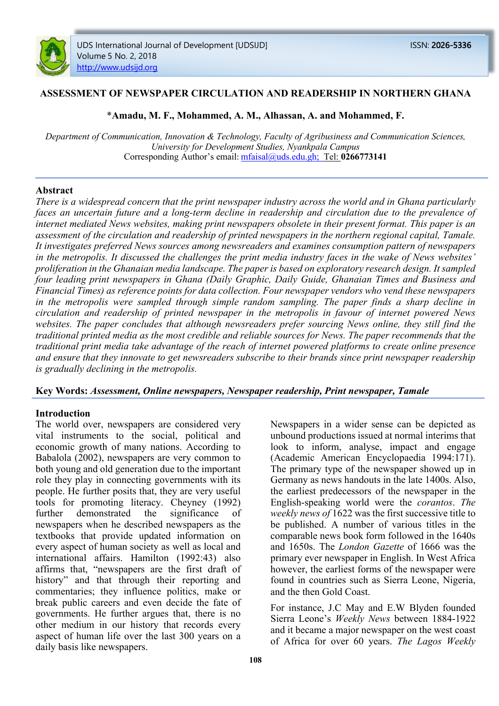

### **ASSESSMENT OF NEWSPAPER CIRCULATION AND READERSHIP IN NORTHERN GHANA**

### \***Amadu, M. F., Mohammed, A. M., Alhassan, A. and Mohammed, F.**

*Department of Communication, Innovation & Technology, Faculty of Agribusiness and Communication Sciences, University for Development Studies, Nyankpala Campus* Corresponding Author's email: mfaisal@uds.edu.gh; Tel: **0266773141**

### **Abstract**

*There is a widespread concern that the print newspaper industry across the world and in Ghana particularly faces an uncertain future and a long-term decline in readership and circulation due to the prevalence of internet mediated News websites, making print newspapers obsolete in their present format. This paper is an assessment of the circulation and readership of printed newspapers in the northern regional capital, Tamale. It investigates preferred News sources among newsreaders and examines consumption pattern of newspapers in the metropolis. It discussed the challenges the print media industry faces in the wake of News websites' proliferation in the Ghanaian media landscape. The paper is based on exploratory research design. It sampled four leading print newspapers in Ghana (Daily Graphic, Daily Guide, Ghanaian Times and Business and Financial Times) as reference points for data collection. Four newspaper vendors who vend these newspapers in the metropolis were sampled through simple random sampling. The paper finds a sharp decline in circulation and readership of printed newspaper in the metropolis in favour of internet powered News websites. The paper concludes that although newsreaders prefer sourcing News online, they still find the traditional printed media as the most credible and reliable sources for News. The paper recommends that the traditional print media take advantage of the reach of internet powered platforms to create online presence and ensure that they innovate to get newsreaders subscribe to their brands since print newspaper readership is gradually declining in the metropolis.*

### **Key Words:** *Assessment, Online newspapers, Newspaper readership, Print newspaper, Tamale*

### **Introduction**

The world over, newspapers are considered very vital instruments to the social, political and economic growth of many nations. According to Babalola (2002), newspapers are very common to both young and old generation due to the important role they play in connecting governments with its people. He further posits that, they are very useful tools for promoting literacy. Cheyney (1992) further demonstrated the significance of newspapers when he described newspapers as the textbooks that provide updated information on every aspect of human society as well as local and international affairs. Hamilton (1992:43) also affirms that, "newspapers are the first draft of history" and that through their reporting and commentaries; they influence politics, make or break public careers and even decide the fate of governments. He further argues that, there is no other medium in our history that records every aspect of human life over the last 300 years on a daily basis like newspapers.

Newspapers in a wider sense can be depicted as unbound productions issued at normal interims that look to inform, analyse, impact and engage (Academic American Encyclopaedia 1994:171). The primary type of the newspaper showed up in Germany as news handouts in the late 1400s. Also, the earliest predecessors of the newspaper in the English-speaking world were the *corantos*. *The weekly news of* 1622 was the first successive title to be published. A number of various titles in the comparable news book form followed in the 1640s and 1650s. The *London Gazette* of 1666 was the primary ever newspaper in English. In West Africa however, the earliest forms of the newspaper were found in countries such as Sierra Leone, Nigeria, and the then Gold Coast.

For instance, J.C May and E.W Blyden founded Sierra Leone's *Weekly News* between 1884-1922 and it became a major newspaper on the west coast of Africa for over 60 years. *The Lagos Weekly*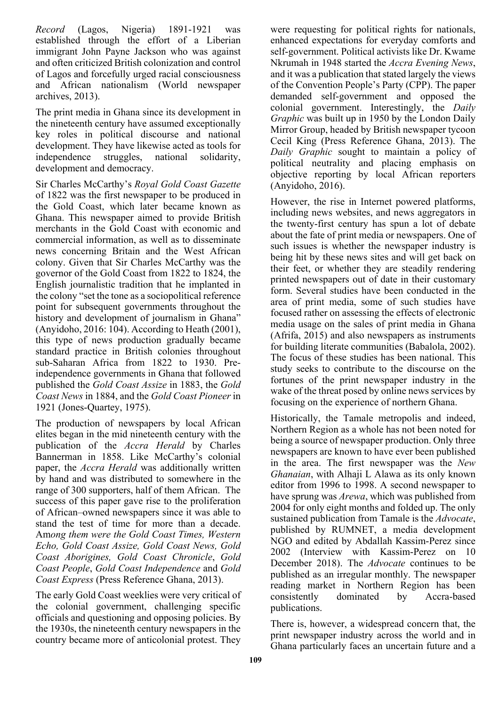*Record* (Lagos, Nigeria) 1891-1921 was established through the effort of a Liberian immigrant John Payne Jackson who was against and often criticized British colonization and control of Lagos and forcefully urged racial consciousness and African nationalism (World newspaper archives, 2013).

The print media in Ghana since its development in the nineteenth century have assumed exceptionally key roles in political discourse and national development. They have likewise acted as tools for independence struggles, national solidarity, development and democracy.

Sir Charles McCarthy's *Royal Gold Coast Gazette* of 1822 was the first newspaper to be produced in the Gold Coast, which later became known as Ghana. This newspaper aimed to provide British merchants in the Gold Coast with economic and commercial information, as well as to disseminate news concerning Britain and the West African colony. Given that Sir Charles McCarthy was the governor of the Gold Coast from 1822 to 1824, the English journalistic tradition that he implanted in the colony "set the tone as a sociopolitical reference point for subsequent governments throughout the history and development of journalism in Ghana" (Anyidoho, 2016: 104). According to Heath (2001), this type of news production gradually became standard practice in British colonies throughout sub-Saharan Africa from 1822 to 1930. Preindependence governments in Ghana that followed published the *Gold Coast Assize* in 1883, the *Gold Coast News* in 1884, and the *Gold Coast Pioneer* in 1921 (Jones-Quartey, 1975).

The production of newspapers by local African elites began in the mid nineteenth century with the publication of the *Accra Herald* by Charles Bannerman in 1858. Like McCarthy's colonial paper, the *Accra Herald* was additionally written by hand and was distributed to somewhere in the range of 300 supporters, half of them African. The success of this paper gave rise to the proliferation of African–owned newspapers since it was able to stand the test of time for more than a decade. Am*ong them were the Gold Coast Times, Western Echo, Gold Coast Assize, Gold Coast News, Gold Coast Aborigines, Gold Coast Chronicle*, *Gold Coast People*, *Gold Coast Independence* and *Gold Coast Express* (Press Reference Ghana, 2013).

The early Gold Coast weeklies were very critical of the colonial government, challenging specific officials and questioning and opposing policies. By the 1930s, the nineteenth century newspapers in the country became more of anticolonial protest. They

were requesting for political rights for nationals, enhanced expectations for everyday comforts and self-government. Political activists like Dr. Kwame Nkrumah in 1948 started the *Accra Evening News*, and it was a publication that stated largely the views of the Convention People's Party (CPP). The paper demanded self-government and opposed the colonial government. Interestingly, the *Daily Graphic* was built up in 1950 by the London Daily Mirror Group, headed by British newspaper tycoon Cecil King (Press Reference Ghana, 2013). The *Daily Graphic* sought to maintain a policy of political neutrality and placing emphasis on objective reporting by local African reporters (Anyidoho, 2016).

However, the rise in Internet powered platforms, including news websites, and news aggregators in the twenty-first century has spun a lot of debate about the fate of print media or newspapers. One of such issues is whether the newspaper industry is being hit by these news sites and will get back on their feet, or whether they are steadily rendering printed newspapers out of date in their customary form. Several studies have been conducted in the area of print media, some of such studies have focused rather on assessing the effects of electronic media usage on the sales of print media in Ghana (Afrifa, 2015) and also newspapers as instruments for building literate communities (Babalola, 2002). The focus of these studies has been national. This study seeks to contribute to the discourse on the fortunes of the print newspaper industry in the wake of the threat posed by online news services by focusing on the experience of northern Ghana.

Historically, the Tamale metropolis and indeed, Northern Region as a whole has not been noted for being a source of newspaper production. Only three newspapers are known to have ever been published in the area. The first newspaper was the *New Ghanaian*, with Alhaji L Alawa as its only known editor from 1996 to 1998. A second newspaper to have sprung was *Arewa*, which was published from 2004 for only eight months and folded up. The only sustained publication from Tamale is the *Advocate*, published by RUMNET, a media development NGO and edited by Abdallah Kassim-Perez since 2002 (Interview with Kassim-Perez on 10 December 2018). The *Advocate* continues to be published as an irregular monthly. The newspaper reading market in Northern Region has been consistently dominated by Accra-based publications.

There is, however, a widespread concern that, the print newspaper industry across the world and in Ghana particularly faces an uncertain future and a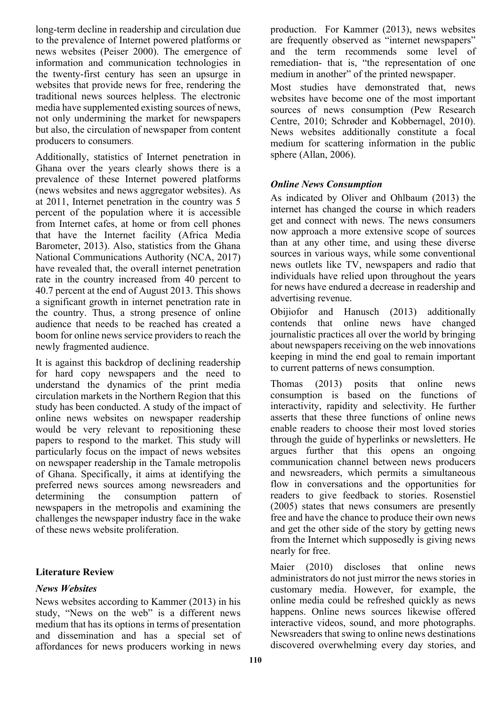long-term decline in readership and circulation due to the prevalence of Internet powered platforms or news websites (Peiser 2000). The emergence of information and communication technologies in the twenty-first century has seen an upsurge in websites that provide news for free, rendering the traditional news sources helpless. The electronic media have supplemented existing sources of news, not only undermining the market for newspapers but also, the circulation of newspaper from content producers to consumers.

Additionally, statistics of Internet penetration in Ghana over the years clearly shows there is a prevalence of these Internet powered platforms (news websites and news aggregator websites). As at 2011, Internet penetration in the country was 5 percent of the population where it is accessible from Internet cafes, at home or from cell phones that have the Internet facility (Africa Media Barometer, 2013). Also, statistics from the Ghana National Communications Authority (NCA, 2017) have revealed that, the overall internet penetration rate in the country increased from 40 percent to 40.7 percent at the end of August 2013. This shows a significant growth in internet penetration rate in the country. Thus, a strong presence of online audience that needs to be reached has created a boom for online news service providers to reach the newly fragmented audience.

It is against this backdrop of declining readership for hard copy newspapers and the need to understand the dynamics of the print media circulation markets in the Northern Region that this study has been conducted. A study of the impact of online news websites on newspaper readership would be very relevant to repositioning these papers to respond to the market. This study will particularly focus on the impact of news websites on newspaper readership in the Tamale metropolis of Ghana. Specifically, it aims at identifying the preferred news sources among newsreaders and determining the consumption pattern of newspapers in the metropolis and examining the challenges the newspaper industry face in the wake of these news website proliferation.

# **Literature Review**

# *News Websites*

News websites according to Kammer (2013) in his study, "News on the web" is a different news medium that has its options in terms of presentation and dissemination and has a special set of affordances for news producers working in news

production. For Kammer (2013), news websites are frequently observed as "internet newspapers" and the term recommends some level of remediation- that is, "the representation of one medium in another" of the printed newspaper.

Most studies have demonstrated that, news websites have become one of the most important sources of news consumption (Pew Research Centre, 2010; Schrøder and Kobbernagel, 2010). News websites additionally constitute a focal medium for scattering information in the public sphere (Allan, 2006).

# *Online News Consumption*

As indicated by Oliver and Ohlbaum (2013) the internet has changed the course in which readers get and connect with news. The news consumers now approach a more extensive scope of sources than at any other time, and using these diverse sources in various ways, while some conventional news outlets like TV, newspapers and radio that individuals have relied upon throughout the years for news have endured a decrease in readership and advertising revenue.

Obijiofor and Hanusch (2013) additionally contends that online news have changed journalistic practices all over the world by bringing about newspapers receiving on the web innovations keeping in mind the end goal to remain important to current patterns of news consumption.

Thomas (2013) posits that online news consumption is based on the functions of interactivity, rapidity and selectivity. He further asserts that these three functions of online news enable readers to choose their most loved stories through the guide of hyperlinks or newsletters. He argues further that this opens an ongoing communication channel between news producers and newsreaders, which permits a simultaneous flow in conversations and the opportunities for readers to give feedback to stories. Rosenstiel (2005) states that news consumers are presently free and have the chance to produce their own news and get the other side of the story by getting news from the Internet which supposedly is giving news nearly for free.

Maier (2010) discloses that online news administrators do not just mirror the news stories in customary media. However, for example, the online media could be refreshed quickly as news happens. Online news sources likewise offered interactive videos, sound, and more photographs. Newsreaders that swing to online news destinations discovered overwhelming every day stories, and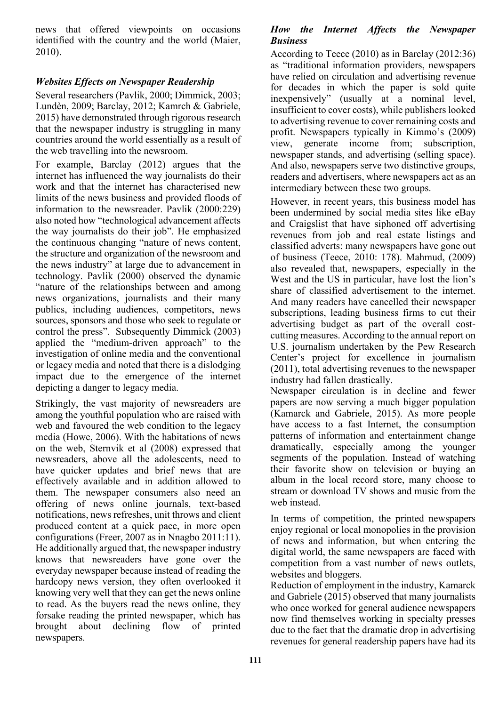news that offered viewpoints on occasions identified with the country and the world (Maier, 2010).

# *Websites Effects on Newspaper Readership*

Several researchers (Pavlik, 2000; Dimmick, 2003; Lundèn, 2009; Barclay, 2012; Kamrch & Gabriele, 2015) have demonstrated through rigorous research that the newspaper industry is struggling in many countries around the world essentially as a result of the web travelling into the newsroom.

For example, Barclay (2012) argues that the internet has influenced the way journalists do their work and that the internet has characterised new limits of the news business and provided floods of information to the newsreader. Pavlik (2000:229) also noted how "technological advancement affects the way journalists do their job". He emphasized the continuous changing "nature of news content, the structure and organization of the newsroom and the news industry" at large due to advancement in technology. Pavlik (2000) observed the dynamic "nature of the relationships between and among news organizations, journalists and their many publics, including audiences, competitors, news sources, sponsors and those who seek to regulate or control the press". Subsequently Dimmick (2003) applied the "medium-driven approach" to the investigation of online media and the conventional or legacy media and noted that there is a dislodging impact due to the emergence of the internet depicting a danger to legacy media.

Strikingly, the vast majority of newsreaders are among the youthful population who are raised with web and favoured the web condition to the legacy media (Howe, 2006). With the habitations of news on the web, Sternvik et al (2008) expressed that newsreaders, above all the adolescents, need to have quicker updates and brief news that are effectively available and in addition allowed to them. The newspaper consumers also need an offering of news online journals, text-based notifications, news refreshes, unit throws and client produced content at a quick pace, in more open configurations (Freer, 2007 as in Nnagbo 2011:11). He additionally argued that, the newspaper industry knows that newsreaders have gone over the everyday newspaper because instead of reading the hardcopy news version, they often overlooked it knowing very well that they can get the news online to read. As the buyers read the news online, they forsake reading the printed newspaper, which has brought about declining flow of printed newspapers.

### *How the Internet Affects the Newspaper Business*

According to Teece (2010) as in Barclay (2012:36) as "traditional information providers, newspapers have relied on circulation and advertising revenue for decades in which the paper is sold quite inexpensively" (usually at a nominal level, insufficient to cover costs), while publishers looked to advertising revenue to cover remaining costs and profit. Newspapers typically in Kimmo's (2009) view, generate income from; subscription, newspaper stands, and advertising (selling space). And also, newspapers serve two distinctive groups, readers and advertisers, where newspapers act as an intermediary between these two groups.

However, in recent years, this business model has been undermined by social media sites like eBay and Craigslist that have siphoned off advertising revenues from job and real estate listings and classified adverts: many newspapers have gone out of business (Teece, 2010: 178). Mahmud, (2009) also revealed that, newspapers, especially in the West and the US in particular, have lost the lion's share of classified advertisement to the internet. And many readers have cancelled their newspaper subscriptions, leading business firms to cut their advertising budget as part of the overall costcutting measures. According to the annual report on U.S. journalism undertaken by the Pew Research Center's project for excellence in journalism (2011), total advertising revenues to the newspaper industry had fallen drastically.

Newspaper circulation is in decline and fewer papers are now serving a much bigger population (Kamarck and Gabriele, 2015). As more people have access to a fast Internet, the consumption patterns of information and entertainment change dramatically, especially among the younger segments of the population. Instead of watching their favorite show on television or buying an album in the local record store, many choose to stream or download TV shows and music from the web instead.

In terms of competition, the printed newspapers enjoy regional or local monopolies in the provision of news and information, but when entering the digital world, the same newspapers are faced with competition from a vast number of news outlets, websites and bloggers.

Reduction of employment in the industry, Kamarck and Gabriele (2015) observed that many journalists who once worked for general audience newspapers now find themselves working in specialty presses due to the fact that the dramatic drop in advertising revenues for general readership papers have had its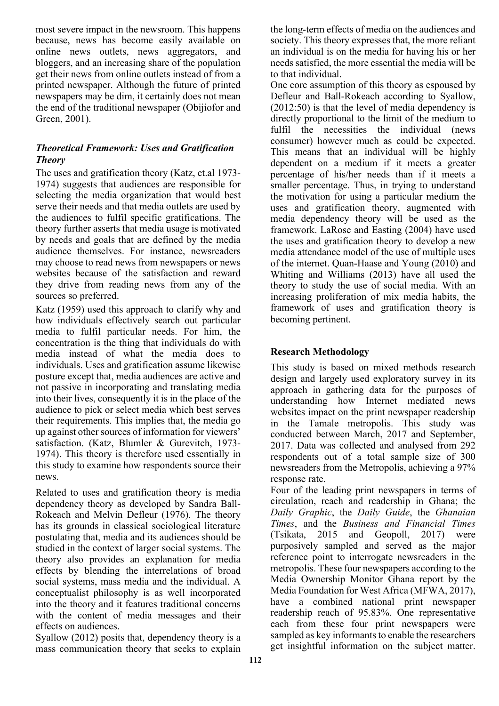most severe impact in the newsroom. This happens because, news has become easily available on online news outlets, news aggregators, and bloggers, and an increasing share of the population get their news from online outlets instead of from a printed newspaper. Although the future of printed newspapers may be dim, it certainly does not mean the end of the traditional newspaper (Obijiofor and Green, 2001).

# *Theoretical Framework: Uses and Gratification Theory*

The uses and gratification theory (Katz, et.al 1973- 1974) suggests that audiences are responsible for selecting the media organization that would best serve their needs and that media outlets are used by the audiences to fulfil specific gratifications. The theory further asserts that media usage is motivated by needs and goals that are defined by the media audience themselves. For instance, newsreaders may choose to read news from newspapers or news websites because of the satisfaction and reward they drive from reading news from any of the sources so preferred.

Katz (1959) used this approach to clarify why and how individuals effectively search out particular media to fulfil particular needs. For him, the concentration is the thing that individuals do with media instead of what the media does to individuals. Uses and gratification assume likewise posture except that, media audiences are active and not passive in incorporating and translating media into their lives, consequently it is in the place of the audience to pick or select media which best serves their requirements. This implies that, the media go up against other sources of information for viewers' satisfaction. (Katz, Blumler & Gurevitch, 1973- 1974). This theory is therefore used essentially in this study to examine how respondents source their news.

Related to uses and gratification theory is media dependency theory as developed by Sandra Ball-Rokeach and Melvin Defleur (1976). The theory has its grounds in classical sociological literature postulating that, media and its audiences should be studied in the context of larger social systems. The theory also provides an explanation for media effects by blending the interrelations of broad social systems, mass media and the individual. A conceptualist philosophy is as well incorporated into the theory and it features traditional concerns with the content of media messages and their effects on audiences.

Syallow (2012) posits that, dependency theory is a mass communication theory that seeks to explain

the long-term effects of media on the audiences and society. This theory expresses that, the more reliant an individual is on the media for having his or her needs satisfied, the more essential the media will be to that individual.

One core assumption of this theory as espoused by Defleur and Ball-Rokeach according to Syallow, (2012:50) is that the level of media dependency is directly proportional to the limit of the medium to fulfil the necessities the individual (news consumer) however much as could be expected. This means that an individual will be highly dependent on a medium if it meets a greater percentage of his/her needs than if it meets a smaller percentage. Thus, in trying to understand the motivation for using a particular medium the uses and gratification theory, augmented with media dependency theory will be used as the framework. LaRose and Easting (2004) have used the uses and gratification theory to develop a new media attendance model of the use of multiple uses of the internet. Quan-Haase and Young (2010) and Whiting and Williams (2013) have all used the theory to study the use of social media. With an increasing proliferation of mix media habits, the framework of uses and gratification theory is becoming pertinent.

# **Research Methodology**

This study is based on mixed methods research design and largely used exploratory survey in its approach in gathering data for the purposes of understanding how Internet mediated news websites impact on the print newspaper readership in the Tamale metropolis. This study was conducted between March, 2017 and September, 2017. Data was collected and analysed from 292 respondents out of a total sample size of 300 newsreaders from the Metropolis, achieving a 97% response rate.

Four of the leading print newspapers in terms of circulation, reach and readership in Ghana; the *Daily Graphic*, the *Daily Guide*, the *Ghanaian Times*, and the *Business and Financial Times* (Tsikata, 2015 and Geopoll, 2017) were purposively sampled and served as the major reference point to interrogate newsreaders in the metropolis. These four newspapers according to the Media Ownership Monitor Ghana report by the Media Foundation for West Africa (MFWA, 2017), have a combined national print newspaper readership reach of 95.83%. One representative each from these four print newspapers were sampled as key informants to enable the researchers get insightful information on the subject matter.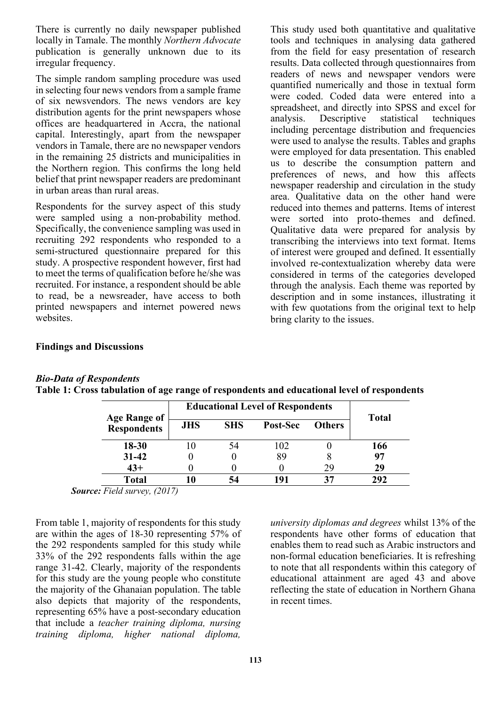There is currently no daily newspaper published locally in Tamale. The monthly *Northern Advocate* publication is generally unknown due to its irregular frequency.

The simple random sampling procedure was used in selecting four news vendors from a sample frame of six newsvendors. The news vendors are key distribution agents for the print newspapers whose offices are headquartered in Accra, the national capital. Interestingly, apart from the newspaper vendors in Tamale, there are no newspaper vendors in the remaining 25 districts and municipalities in the Northern region. This confirms the long held belief that print newspaper readers are predominant in urban areas than rural areas.

Respondents for the survey aspect of this study were sampled using a non-probability method. Specifically, the convenience sampling was used in recruiting 292 respondents who responded to a semi-structured questionnaire prepared for this study. A prospective respondent however, first had to meet the terms of qualification before he/she was recruited. For instance, a respondent should be able to read, be a newsreader, have access to both printed newspapers and internet powered news websites.

This study used both quantitative and qualitative tools and techniques in analysing data gathered from the field for easy presentation of research results. Data collected through questionnaires from readers of news and newspaper vendors were quantified numerically and those in textual form were coded. Coded data were entered into a spreadsheet, and directly into SPSS and excel for analysis. Descriptive statistical techniques including percentage distribution and frequencies were used to analyse the results. Tables and graphs were employed for data presentation. This enabled us to describe the consumption pattern and preferences of news, and how this affects newspaper readership and circulation in the study area. Qualitative data on the other hand were reduced into themes and patterns. Items of interest were sorted into proto-themes and defined. Qualitative data were prepared for analysis by transcribing the interviews into text format. Items of interest were grouped and defined. It essentially involved re-contextualization whereby data were considered in terms of the categories developed through the analysis. Each theme was reported by description and in some instances, illustrating it with few quotations from the original text to help bring clarity to the issues.

# **Findings and Discussions**

### *Bio-Data of Respondents*

|                                           | <b>Educational Level of Respondents</b> |            |          |               |              |  |
|-------------------------------------------|-----------------------------------------|------------|----------|---------------|--------------|--|
| <b>Age Range of</b><br><b>Respondents</b> | <b>JHS</b>                              | <b>SHS</b> | Post-Sec | <b>Others</b> | <b>Total</b> |  |
| $18 - 30$                                 |                                         | 54         | 102      |               | 166          |  |
| $31 - 42$                                 |                                         |            | 89       |               | 97           |  |
| $43+$                                     |                                         |            |          | 29            | 29           |  |
| Total                                     |                                         |            | 191      |               | 292          |  |

**Table 1: Cross tabulation of age range of respondents and educational level of respondents**

*Source: Field survey, (2017)*

From table 1, majority of respondents for this study are within the ages of 18-30 representing 57% of the 292 respondents sampled for this study while 33% of the 292 respondents falls within the age range 31-42. Clearly, majority of the respondents for this study are the young people who constitute the majority of the Ghanaian population. The table also depicts that majority of the respondents, representing 65% have a post-secondary education that include a *teacher training diploma, nursing training diploma, higher national diploma,* 

*university diplomas and degrees* whilst 13% of the respondents have other forms of education that enables them to read such as Arabic instructors and non-formal education beneficiaries. It is refreshing to note that all respondents within this category of educational attainment are aged 43 and above reflecting the state of education in Northern Ghana in recent times.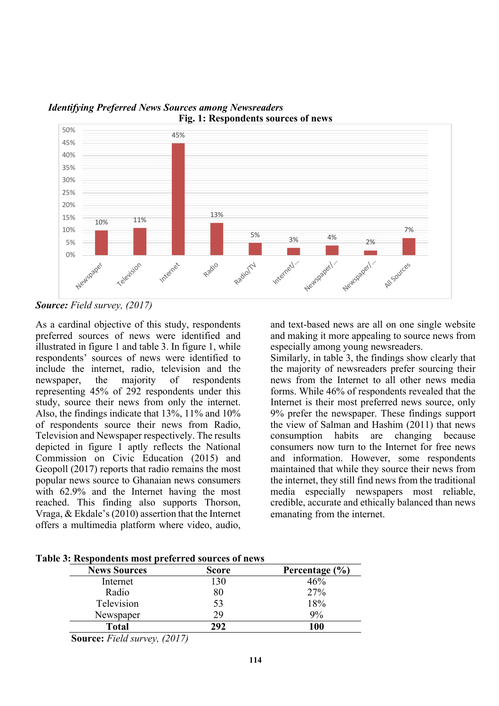



*Source: Field survey, (2017)*

As a cardinal objective of this study, respondents preferred sources of news were identified and illustrated in figure 1 and table 3. In figure 1, while respondents' sources of news were identified to include the internet, radio, television and the newspaper, the majority of respondents representing 45% of 292 respondents under this study, source their news from only the internet. Also, the findings indicate that 13%, 11% and 10% of respondents source their news from Radio, Television and Newspaper respectively. The results depicted in figure 1 aptly reflects the National Commission on Civic Education (2015) and Geopoll (2017) reports that radio remains the most popular news source to Ghanaian news consumers with 62.9% and the Internet having the most reached. This finding also supports Thorson, Vraga, & Ekdale's(2010) assertion that the Internet offers a multimedia platform where video, audio,

and text-based news are all on one single website and making it more appealing to source news from especially among young newsreaders.

Similarly, in table 3, the findings show clearly that the majority of newsreaders prefer sourcing their news from the Internet to all other news media forms. While 46% of respondents revealed that the Internet is their most preferred news source, only 9% prefer the newspaper. These findings support the view of Salman and Hashim (2011) that news consumption habits are changing because consumers now turn to the Internet for free news and information. However, some respondents maintained that while they source their news from the internet, they still find news from the traditional media especially newspapers most reliable, credible, accurate and ethically balanced than news emanating from the internet.

|                     | ic J. Respondents most preferred sources of hews |                |
|---------------------|--------------------------------------------------|----------------|
| <b>News Sources</b> | Score                                            | Percentage (%) |
| Internet            | 130                                              | 46%            |
| Radio               | 80                                               | 27%            |
| Television          | 53                                               | 18%            |
| Newspaper           | 29                                               | $9\%$          |
| Total               | 292                                              | 100            |

**Table 3: Respondents most preferred sources of news**

**Source:** *Field survey, (2017)*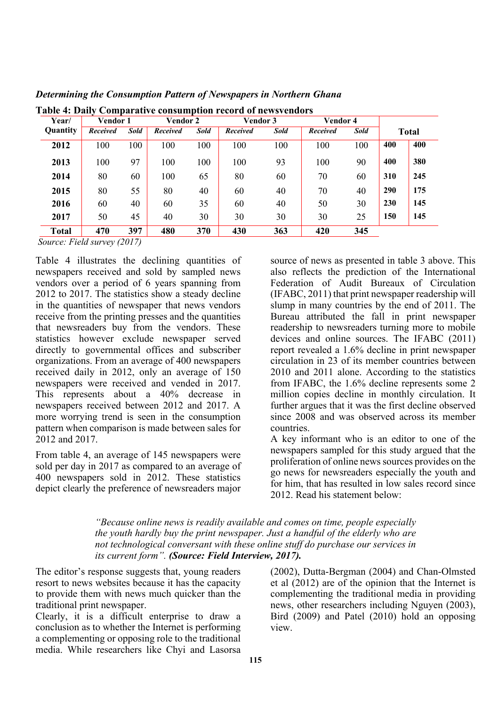| Year/        | Vendor 1        |             | Vendor 2        |             | <b>Vendor 3</b> |             | Vendor 4        |             |     |              |
|--------------|-----------------|-------------|-----------------|-------------|-----------------|-------------|-----------------|-------------|-----|--------------|
| Quantity     | <b>Received</b> | <b>Sold</b> | <b>Received</b> | <b>Sold</b> | <b>Received</b> | <b>Sold</b> | <b>Received</b> | <b>Sold</b> |     | <b>Total</b> |
| 2012         | 100             | 100         | 100             | 100         | 100             | 100         | 100             | 100         | 400 | 400          |
| 2013         | 100             | 97          | 100             | 100         | 100             | 93          | 100             | 90          | 400 | 380          |
| 2014         | 80              | 60          | 100             | 65          | 80              | 60          | 70              | 60          | 310 | 245          |
| 2015         | 80              | 55          | 80              | 40          | 60              | 40          | 70              | 40          | 290 | 175          |
| 2016         | 60              | 40          | 60              | 35          | 60              | 40          | 50              | 30          | 230 | 145          |
| 2017         | 50              | 45          | 40              | 30          | 30              | 30          | 30              | 25          | 150 | 145          |
| <b>Total</b> | 470             | 397         | 480             | 370         | 430             | 363         | 420             | 345         |     |              |

*Determining the Consumption Pattern of Newspapers in Northern Ghana*

**Table 4: Daily Comparative consumption record of newsvendors**

*Source: Field survey (2017)*

Table 4 illustrates the declining quantities of newspapers received and sold by sampled news vendors over a period of 6 years spanning from 2012 to 2017. The statistics show a steady decline in the quantities of newspaper that news vendors receive from the printing presses and the quantities that newsreaders buy from the vendors. These statistics however exclude newspaper served directly to governmental offices and subscriber organizations. From an average of 400 newspapers received daily in 2012, only an average of 150 newspapers were received and vended in 2017. This represents about a 40% decrease in newspapers received between 2012 and 2017. A more worrying trend is seen in the consumption pattern when comparison is made between sales for 2012 and 2017.

From table 4, an average of 145 newspapers were sold per day in 2017 as compared to an average of 400 newspapers sold in 2012. These statistics depict clearly the preference of newsreaders major

source of news as presented in table 3 above. This also reflects the prediction of the International Federation of Audit Bureaux of Circulation (IFABC, 2011) that print newspaper readership will slump in many countries by the end of 2011. The Bureau attributed the fall in print newspaper readership to newsreaders turning more to mobile devices and online sources. The IFABC (2011) report revealed a 1.6% decline in print newspaper circulation in 23 of its member countries between 2010 and 2011 alone. According to the statistics from IFABC, the 1.6% decline represents some 2 million copies decline in monthly circulation. It further argues that it was the first decline observed since 2008 and was observed across its member countries.

A key informant who is an editor to one of the newspapers sampled for this study argued that the proliferation of online news sources provides on the go news for newsreaders especially the youth and for him, that has resulted in low sales record since 2012. Read his statement below:

*"Because online news is readily available and comes on time, people especially the youth hardly buy the print newspaper. Just a handful of the elderly who are not technological conversant with these online stuff do purchase our services in its current form". (Source: Field Interview, 2017).*

The editor's response suggests that, young readers resort to news websites because it has the capacity to provide them with news much quicker than the traditional print newspaper.

Clearly, it is a difficult enterprise to draw a conclusion as to whether the Internet is performing a complementing or opposing role to the traditional media. While researchers like Chyi and Lasorsa

(2002), Dutta-Bergman (2004) and Chan-Olmsted et al (2012) are of the opinion that the Internet is complementing the traditional media in providing news, other researchers including Nguyen (2003), Bird (2009) and Patel (2010) hold an opposing view.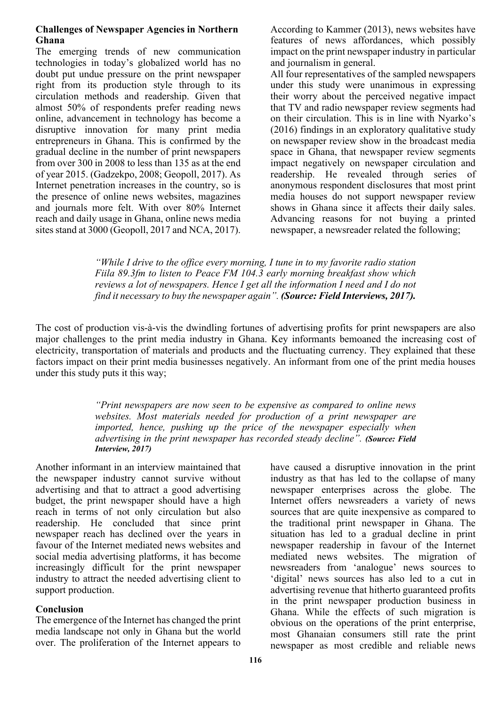### **Challenges of Newspaper Agencies in Northern Ghana**

The emerging trends of new communication technologies in today's globalized world has no doubt put undue pressure on the print newspaper right from its production style through to its circulation methods and readership. Given that almost 50% of respondents prefer reading news online, advancement in technology has become a disruptive innovation for many print media entrepreneurs in Ghana. This is confirmed by the gradual decline in the number of print newspapers from over 300 in 2008 to less than 135 as at the end of year 2015. (Gadzekpo, 2008; Geopoll, 2017). As Internet penetration increases in the country, so is the presence of online news websites, magazines and journals more felt. With over 80% Internet reach and daily usage in Ghana, online news media sites stand at 3000 (Geopoll, 2017 and NCA, 2017).

According to Kammer (2013), news websites have features of news affordances, which possibly impact on the print newspaper industry in particular and journalism in general.

All four representatives of the sampled newspapers under this study were unanimous in expressing their worry about the perceived negative impact that TV and radio newspaper review segments had on their circulation. This is in line with Nyarko's (2016) findings in an exploratory qualitative study on newspaper review show in the broadcast media space in Ghana, that newspaper review segments impact negatively on newspaper circulation and readership. He revealed through series of anonymous respondent disclosures that most print media houses do not support newspaper review shows in Ghana since it affects their daily sales. Advancing reasons for not buying a printed newspaper, a newsreader related the following;

*"While I drive to the office every morning, I tune in to my favorite radio station Fiila 89.3fm to listen to Peace FM 104.3 early morning breakfast show which reviews a lot of newspapers. Hence I get all the information I need and I do not find it necessary to buy the newspaper again". (Source: Field Interviews, 2017).*

The cost of production vis-à-vis the dwindling fortunes of advertising profits for print newspapers are also major challenges to the print media industry in Ghana. Key informants bemoaned the increasing cost of electricity, transportation of materials and products and the fluctuating currency. They explained that these factors impact on their print media businesses negatively. An informant from one of the print media houses under this study puts it this way;

> *"Print newspapers are now seen to be expensive as compared to online news websites. Most materials needed for production of a print newspaper are imported, hence, pushing up the price of the newspaper especially when advertising in the print newspaper has recorded steady decline". (Source: Field Interview, 2017)*

Another informant in an interview maintained that the newspaper industry cannot survive without advertising and that to attract a good advertising budget, the print newspaper should have a high reach in terms of not only circulation but also readership. He concluded that since print newspaper reach has declined over the years in favour of the Internet mediated news websites and social media advertising platforms, it has become increasingly difficult for the print newspaper industry to attract the needed advertising client to support production.

# **Conclusion**

The emergence of the Internet has changed the print media landscape not only in Ghana but the world over. The proliferation of the Internet appears to

have caused a disruptive innovation in the print industry as that has led to the collapse of many newspaper enterprises across the globe. The Internet offers newsreaders a variety of news sources that are quite inexpensive as compared to the traditional print newspaper in Ghana. The situation has led to a gradual decline in print newspaper readership in favour of the Internet mediated news websites. The migration of newsreaders from 'analogue' news sources to 'digital' news sources has also led to a cut in advertising revenue that hitherto guaranteed profits in the print newspaper production business in Ghana. While the effects of such migration is obvious on the operations of the print enterprise, most Ghanaian consumers still rate the print newspaper as most credible and reliable news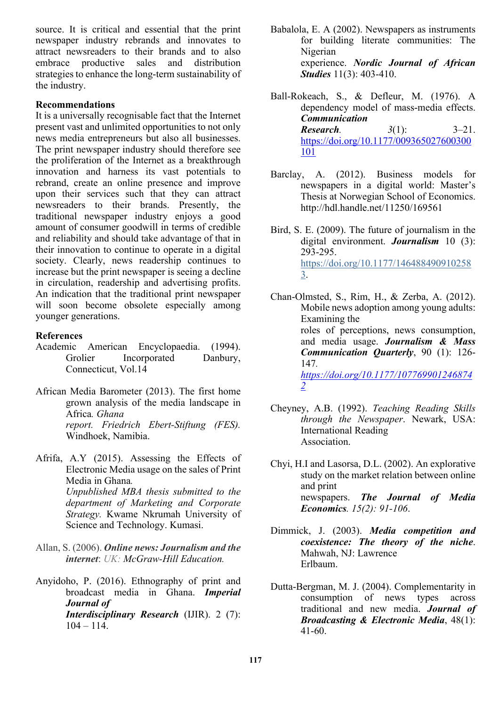source. It is critical and essential that the print newspaper industry rebrands and innovates to attract newsreaders to their brands and to also embrace productive sales and distribution strategies to enhance the long-term sustainability of the industry.

### **Recommendations**

It is a universally recognisable fact that the Internet present vast and unlimited opportunities to not only news media entrepreneurs but also all businesses. The print newspaper industry should therefore see the proliferation of the Internet as a breakthrough innovation and harness its vast potentials to rebrand, create an online presence and improve upon their services such that they can attract newsreaders to their brands. Presently, the traditional newspaper industry enjoys a good amount of consumer goodwill in terms of credible and reliability and should take advantage of that in their innovation to continue to operate in a digital society. Clearly, news readership continues to increase but the print newspaper is seeing a decline in circulation, readership and advertising profits. An indication that the traditional print newspaper will soon become obsolete especially among younger generations.

### **References**

- Academic American Encyclopaedia. (1994). Grolier Incorporated Danbury, Connecticut, Vol.14
- African Media Barometer (2013). The first home grown analysis of the media landscape in Africa*. Ghana report. Friedrich Ebert-Stiftung (FES).*  Windhoek, Namibia.
- Afrifa, A.Y (2015). Assessing the Effects of Electronic Media usage on the sales of Print Media in Ghana*. Unpublished MBA thesis submitted to the department of Marketing and Corporate Strategy.* Kwame Nkrumah University of Science and Technology. Kumasi.
- Allan, S. (2006). *Online news: Journalism and the internet*: *UK: McGraw-Hill Education.*
- Anyidoho, P. (2016). Ethnography of print and broadcast media in Ghana. *Imperial Journal of Interdisciplinary Research* (IJIR). 2 (7):  $104 - 114.$
- Babalola, E. A (2002). Newspapers as instruments for building literate communities: The Nigerian experience. *Nordic Journal of African Studies* 11(3): 403-410.
- Ball-Rokeach, S., & Defleur, M. (1976). A dependency model of mass-media effects. *Communication Research. 3*(1): 3–21. https://doi.org/10.1177/009365027600300 101
- Barclay, A. (2012). Business models for newspapers in a digital world: Master's Thesis at Norwegian School of Economics. http://hdl.handle.net/11250/169561
- Bird, S. E. (2009). The future of journalism in the digital environment. *Journalism* 10 (3): 293-295. https://doi.org/10.1177/146488490910258 3.

Chan-Olmsted, S., Rim, H., & Zerba, A. (2012). Mobile news adoption among young adults: Examining the roles of perceptions, news consumption, and media usage. *Journalism & Mass Communication Quarterly*, 90 (1): 126- 147*. https://doi.org/10.1177/107769901246874 2*

- Cheyney, A.B. (1992). *Teaching Reading Skills through the Newspaper*. Newark, USA: International Reading Association.
- Chyi, H.I and Lasorsa, D.L. (2002). An explorative study on the market relation between online and print newspapers. *The Journal of Media Economics. 15(2): 91-106*.
- Dimmick, J. (2003). *Media competition and coexistence: The theory of the niche*. Mahwah, NJ: Lawrence Erlbaum.
- Dutta-Bergman, M. J. (2004). Complementarity in consumption of news types across traditional and new media. *Journal of Broadcasting & Electronic Media*, 48(1): 41-60.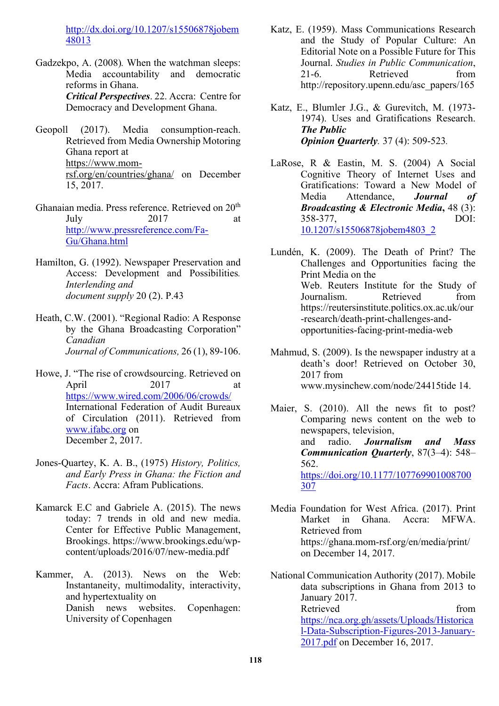http://dx.doi.org/10.1207/s15506878jobem 48013

- Gadzekpo, A. (2008)*.* When the watchman sleeps: Media accountability and democratic reforms in Ghana. *Critical Perspectives*. 22. Accra: Centre for Democracy and Development Ghana.
- Geopoll (2017). Media consumption-reach. Retrieved from Media Ownership Motoring Ghana report at https://www.momrsf.org/en/countries/ghana/ on December 15, 2017.
- Ghanaian media. Press reference. Retrieved on 20<sup>th</sup> July 2017 at http://www.pressreference.com/Fa-Gu/Ghana.html
- Hamilton, G. (1992). Newspaper Preservation and Access: Development and Possibilities*. Interlending and document supply* 20 (2). P.43
- Heath, C.W. (2001). "Regional Radio: A Response by the Ghana Broadcasting Corporation" *Canadian Journal of Communications,* 26 (1), 89-106.
- Howe, J. "The rise of crowdsourcing. Retrieved on April 2017 at https://www.wired.com/2006/06/crowds/ International Federation of Audit Bureaux of Circulation (2011). Retrieved from www.ifabc.org on December 2, 2017.
- Jones-Quartey, K. A. B., (1975) *History, Politics, and Early Press in Ghana: the Fiction and Facts*. Accra: Afram Publications.
- Kamarck E.C and Gabriele A. (2015). The news today: 7 trends in old and new media. Center for Effective Public Management, Brookings. https://www.brookings.edu/wpcontent/uploads/2016/07/new-media.pdf
- Kammer, A. (2013). News on the Web: Instantaneity, multimodality, interactivity, and hypertextuality on<br>Danish news websites. Danish news websites. Copenhagen: University of Copenhagen
- Katz, E. (1959). Mass Communications Research and the Study of Popular Culture: An Editorial Note on a Possible Future for This Journal. *Studies in Public Communication*, 21-6. Retrieved from http://repository.upenn.edu/asc\_papers/165
- Katz, E., Blumler J.G., & Gurevitch, M. (1973- 1974). Uses and Gratifications Research. *The Public Opinion Quarterly.* 37 (4): 509-523*.*
- LaRose, R & Eastin, M. S. (2004) A Social Cognitive Theory of Internet Uses and Gratifications: Toward a New Model of Media Attendance, *Journal of Broadcasting & Electronic Media***,** 48 (3): 358-377, DOI: 10.1207/s15506878jobem4803\_2
- Lundén, K. (2009). The Death of Print? The Challenges and Opportunities facing the Print Media on the Web. Reuters Institute for the Study of Journalism. Retrieved from https://reutersinstitute.politics.ox.ac.uk/our -research/death-print-challenges-andopportunities-facing-print-media-web
- Mahmud, S. (2009). Is the newspaper industry at a death's door! Retrieved on October 30, 2017 from www.mysinchew.com/node/24415tide 14.
- Maier, S. (2010). All the news fit to post? Comparing news content on the web to newspapers, television, and radio. *Journalism and Mass Communication Quarterly*, 87(3–4): 548– 562. https://doi.org/10.1177/107769901008700 307
- Media Foundation for West Africa. (2017). Print Market in Ghana. Accra: MFWA. Retrieved from https://ghana.mom-rsf.org/en/media/print/ on December 14, 2017.
- National Communication Authority (2017). Mobile data subscriptions in Ghana from 2013 to January 2017. Retrieved from https://nca.org.gh/assets/Uploads/Historica l-Data-Subscription-Figures-2013-January-2017.pdf on December 16, 2017.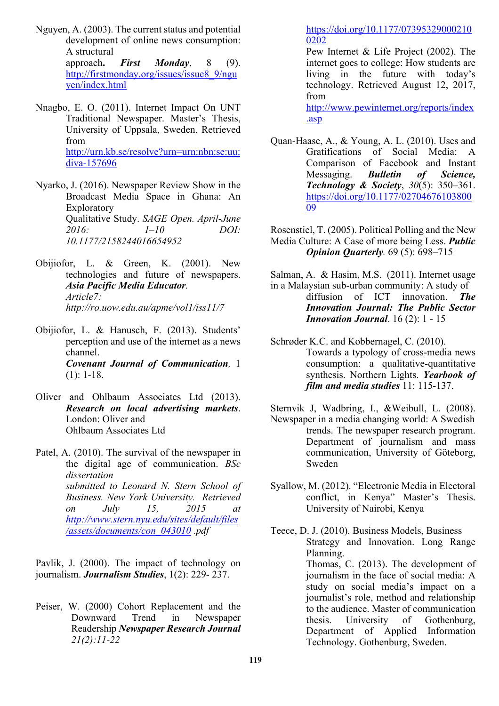Nguyen, A. (2003). The current status and potential development of online news consumption: A structural approach**.** *First Monday*, 8 (9).

http://firstmonday.org/issues/issue8\_9/ngu yen/index.html

- Nnagbo, E. O. (2011). Internet Impact On UNT Traditional Newspaper. Master's Thesis, University of Uppsala, Sweden. Retrieved from http://urn.kb.se/resolve?urn=urn:nbn:se:uu: diva-157696
- Nyarko, J. (2016). Newspaper Review Show in the Broadcast Media Space in Ghana: An Exploratory Qualitative Study. *SAGE Open. April-June 2016: 1–10 DOI: 10.1177/2158244016654952*
- Obijiofor, L. & Green, K. (2001). New technologies and future of newspapers. *Asia Pacific Media Educator. Article7: http://ro.uow.edu.au/apme/vol1/iss11/7*
- Obijiofor, L. & Hanusch, F. (2013). Students' perception and use of the internet as a news channel. *Covenant Journal of Communication,* 1  $(1): 1-18.$
- Oliver and Ohlbaum Associates Ltd (2013). *Research on local advertising markets*. London: Oliver and Ohlbaum Associates Ltd
- Patel, A. (2010). The survival of the newspaper in the digital age of communication. *BSc dissertation submitted to Leonard N. Stern School of Business. New York University. Retrieved on July 15, 2015 at http://www.stern.nyu.edu/sites/default/files /assets/documents/con\_043010 .pdf*

Pavlik, J. (2000). The impact of technology on journalism. *Journalism Studies*, 1(2): 229- 237.

Peiser, W. (2000) Cohort Replacement and the Downward Trend in Newspaper Readership *Newspaper Research Journal 21(2):11-22*

https://doi.org/10.1177/07395329000210 0202

Pew Internet & Life Project (2002). The internet goes to college: How students are living in the future with today's technology. Retrieved August 12, 2017, from

http://www.pewinternet.org/reports/index .asp

Quan-Haase, A., & Young, A. L. (2010). Uses and Gratifications of Social Media: A Comparison of Facebook and Instant Messaging. *Bulletin of Science, Technology & Society*, *30*(5): 350–361. https://doi.org/10.1177/02704676103800 09

Rosenstiel, T. (2005). Political Polling and the New Media Culture: A Case of more being Less. *Public Opinion Quarterly.* 69 (5): 698–715

- Salman, A. & Hasim, M.S. (2011). Internet usage in a Malaysian sub-urban community: A study of diffusion of ICT innovation. *The Innovation Journal: The Public Sector Innovation Journal*. 16 (2): 1 - 15
- Schrøder K.C. and Kobbernagel, C. (2010). Towards a typology of cross-media news consumption: a qualitative-quantitative synthesis. Northern Lights. *Yearbook of film and media studies* 11: 115-137.

Sternvik J, Wadbring, I., &Weibull, L. (2008). Newspaper in a media changing world: A Swedish

- trends. The newspaper research program. Department of journalism and mass communication, University of Göteborg, Sweden
- Syallow, M. (2012). "Electronic Media in Electoral conflict, in Kenya" Master's Thesis. University of Nairobi, Kenya

Teece, D. J. (2010). Business Models, Business Strategy and Innovation. Long Range Planning. Thomas, C. (2013). The development of journalism in the face of social media: A study on social media's impact on a journalist's role, method and relationship to the audience. Master of communication thesis. University of Gothenburg, Department of Applied Information Technology. Gothenburg, Sweden.